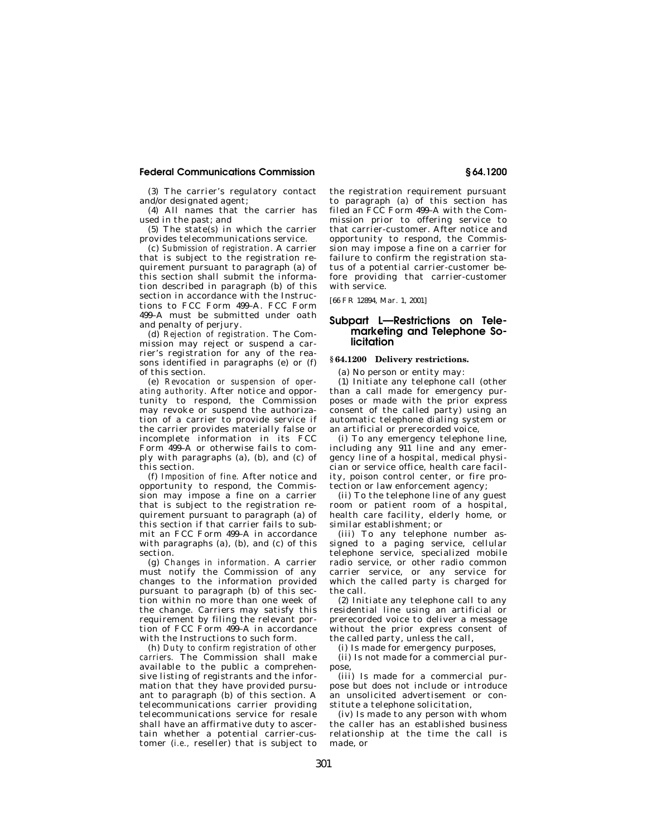### **Federal Communications Commission § 64.1200**

(3) The carrier's regulatory contact and/or designated agent;

(4) All names that the carrier has used in the past; and

(5) The state(s) in which the carrier provides telecommunications service.

(c) *Submission of registration.* A carrier that is subject to the registration requirement pursuant to paragraph (a) of this section shall submit the information described in paragraph (b) of this section in accordance with the Instructions to FCC Form 499–A. FCC Form 499–A must be submitted under oath and penalty of perjury.

(d) *Rejection of registration.* The Commission may reject or suspend a carrier's registration for any of the reasons identified in paragraphs (e) or (f) of this section.

(e) *Revocation or suspension of operating authority.* After notice and opportunity to respond, the Commission may revoke or suspend the authorization of a carrier to provide service if the carrier provides materially false or incomplete information in its FCC Form 499–A or otherwise fails to comply with paragraphs (a), (b), and (c) of this section.

(f) *Imposition of fine.* After notice and opportunity to respond, the Commission may impose a fine on a carrier that is subject to the registration requirement pursuant to paragraph (a) of this section if that carrier fails to submit an FCC Form 499–A in accordance with paragraphs (a), (b), and (c) of this section.

(g) *Changes in information.* A carrier must notify the Commission of any changes to the information provided pursuant to paragraph (b) of this section within no more than one week of the change. Carriers may satisfy this requirement by filing the relevant portion of FCC Form 499–A in accordance with the Instructions to such form.

(h) *Duty to confirm registration of other carriers.* The Commission shall make available to the public a comprehensive listing of registrants and the information that they have provided pursuant to paragraph (b) of this section. A telecommunications carrier providing telecommunications service for resale shall have an affirmative duty to ascertain whether a potential carrier-customer (*i.e.,* reseller) that is subject to

the registration requirement pursuant to paragraph (a) of this section has filed an FCC Form 499–A with the Commission prior to offering service to that carrier-customer. After notice and opportunity to respond, the Commission may impose a fine on a carrier for failure to confirm the registration status of a potential carrier-customer before providing that carrier-customer with service.

[66 FR 12894, Mar. 1, 2001]

# **Subpart L—Restrictions on Telemarketing and Telephone Solicitation**

## **§ 64.1200 Delivery restrictions.**

(a) No person or entity may:

(1) Initiate any telephone call (other than a call made for emergency purposes or made with the prior express consent of the called party) using an automatic telephone dialing system or an artificial or prerecorded voice,

(i) To any emergency telephone line, including any 911 line and any emergency line of a hospital, medical physician or service office, health care facility, poison control center, or fire protection or law enforcement agency;

(ii) To the telephone line of any guest room or patient room of a hospital, health care facility, elderly home, or similar establishment; or

(iii) To any telephone number assigned to a paging service, cellular telephone service, specialized mobile radio service, or other radio common carrier service, or any service for which the called party is charged for the call.

(2) Initiate any telephone call to any residential line using an artificial or prerecorded voice to deliver a message without the prior express consent of the called party, unless the call,

(i) Is made for emergency purposes,

(ii) Is not made for a commercial purpose,

(iii) Is made for a commercial purpose but does not include or introduce an unsolicited advertisement or constitute a telephone solicitation,

(iv) Is made to any person with whom the caller has an established business relationship at the time the call is made, or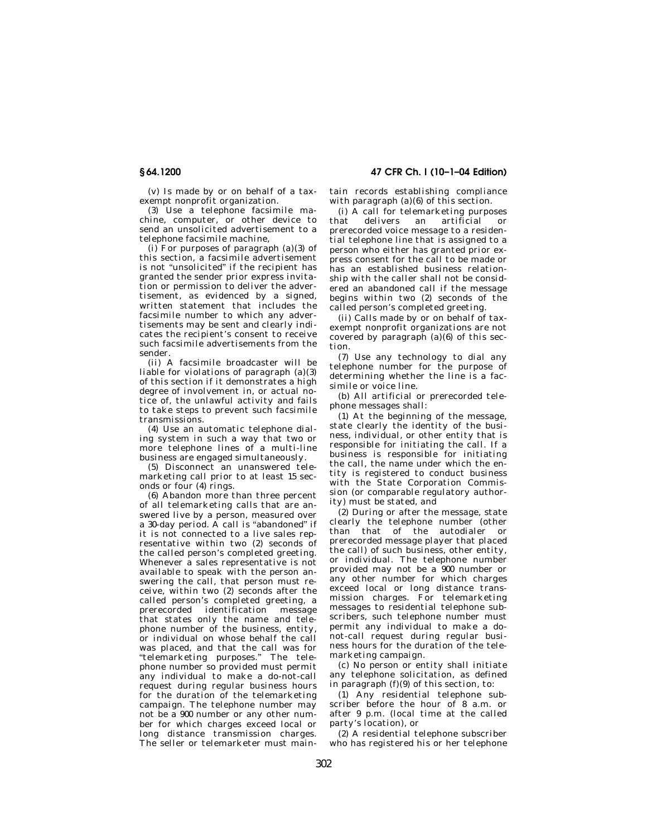**§ 64.1200 47 CFR Ch. I (10–1–04 Edition)** 

(v) Is made by or on behalf of a taxexempt nonprofit organization.

(3) Use a telephone facsimile machine, computer, or other device to send an unsolicited advertisement to a telephone facsimile machine,

 $(i)$  For purposes of paragraph  $(a)(3)$  of this section, a facsimile advertisement is not "unsolicited" if the recipient has granted the sender prior express invitation or permission to deliver the advertisement, as evidenced by a signed, written statement that includes the facsimile number to which any advertisements may be sent and clearly indicates the recipient's consent to receive such facsimile advertisements from the sender.

(ii) A facsimile broadcaster will be liable for violations of paragraph (a)(3) of this section if it demonstrates a high degree of involvement in, or actual notice of, the unlawful activity and fails to take steps to prevent such facsimile transmissions.

(4) Use an automatic telephone dialing system in such a way that two or more telephone lines of a multi-line business are engaged simultaneously.

(5) Disconnect an unanswered telemarketing call prior to at least 15 seconds or four (4) rings.

(6) Abandon more than three percent of all telemarketing calls that are answered live by a person, measured over a 30-day period. A call is "abandoned" if it is not connected to a live sales representative within two (2) seconds of the called person's completed greeting. Whenever a sales representative is not available to speak with the person answering the call, that person must receive, within two (2) seconds after the called person's completed greeting, a prerecorded identification message that states only the name and telephone number of the business, entity, or individual on whose behalf the call was placed, and that the call was for ''telemarketing purposes.'' The telephone number so provided must permit any individual to make a do-not-call request during regular business hours for the duration of the telemarketing campaign. The telephone number may not be a 900 number or any other number for which charges exceed local or long distance transmission charges. The seller or telemarketer must maintain records establishing compliance with paragraph  $(a)(6)$  of this section.

(i) A call for telemarketing purposes that delivers an artificial or prerecorded voice message to a residential telephone line that is assigned to a person who either has granted prior express consent for the call to be made or .<br>has an established business relationship with the caller shall not be considered an abandoned call if the message begins within two (2) seconds of the called person's completed greeting.

(ii) Calls made by or on behalf of taxexempt nonprofit organizations are not covered by paragraph  $(a)(6)$  of this section.

(7) Use any technology to dial any telephone number for the purpose of determining whether the line is a facsimile or voice line.

(b) All artificial or prerecorded telephone messages shall:

(1) At the beginning of the message, state clearly the identity of the business, individual, or other entity that is responsible for initiating the call. If a business is responsible for initiating the call, the name under which the entity is registered to conduct business with the State Corporation Commission (or comparable regulatory authority) must be stated, and

(2) During or after the message, state clearly the telephone number (other than that of the autodialer or prerecorded message player that placed the call) of such business, other entity, or individual. The telephone number provided may not be a 900 number or any other number for which charges exceed local or long distance transmission charges. For telemarketing messages to residential telephone subscribers, such telephone number must permit any individual to make a donot-call request during regular business hours for the duration of the telemarketing campaign.

(c) No person or entity shall initiate any telephone solicitation, as defined in paragraph (f)(9) of this section, to:

(1) Any residential telephone subscriber before the hour of 8 a.m. or after 9 p.m. (local time at the called party's location), or

(2) A residential telephone subscriber who has registered his or her telephone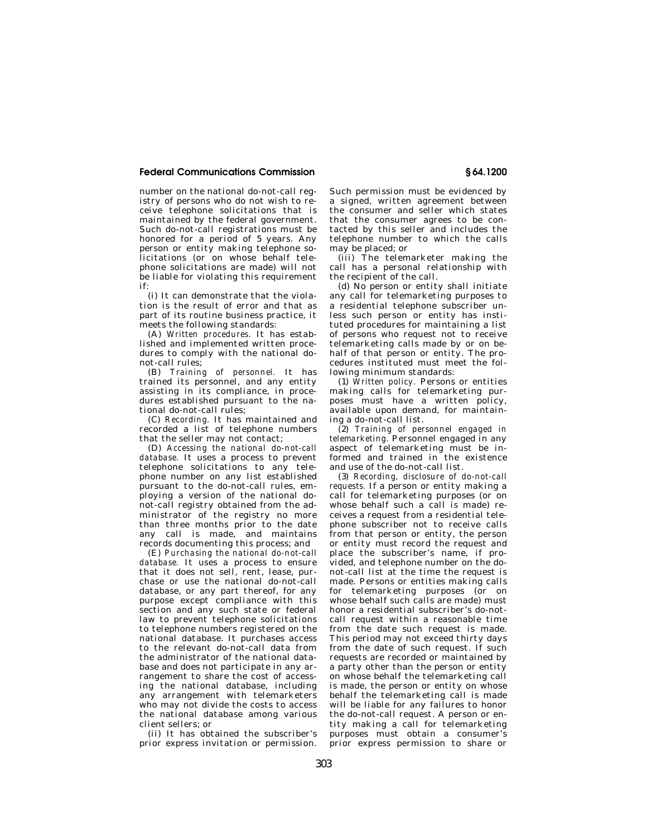## **Federal Communications Commission § 64.1200**

number on the national do-not-call registry of persons who do not wish to receive telephone solicitations that is maintained by the federal government. Such do-not-call registrations must be honored for a period of 5 years. Any person or entity making telephone solicitations (or on whose behalf telephone solicitations are made) will not be liable for violating this requirement if:

(i) It can demonstrate that the violation is the result of error and that as part of its routine business practice, it meets the following standards:

(A) *Written procedures.* It has established and implemented written procedures to comply with the national donot-call rules;

(B) *Training of personnel.* It has trained its personnel, and any entity assisting in its compliance, in procedures established pursuant to the national do-not-call rules;

(C) *Recording.* It has maintained and recorded a list of telephone numbers that the seller may not contact;

(D) *Accessing the national do-not-call database.* It uses a process to prevent telephone solicitations to any telephone number on any list established pursuant to the do-not-call rules, employing a version of the national donot-call registry obtained from the administrator of the registry no more than three months prior to the date any call is made, and maintains records documenting this process; and

(E) *Purchasing the national do-not-call database.* It uses a process to ensure that it does not sell, rent, lease, purchase or use the national do-not-call database, or any part thereof, for any purpose except compliance with this section and any such state or federal law to prevent telephone solicitations to telephone numbers registered on the national database. It purchases access to the relevant do-not-call data from the administrator of the national database and does not participate in any arrangement to share the cost of accessing the national database, including any arrangement with telemarketers who may not divide the costs to access the national database among various client sellers; or

(ii) It has obtained the subscriber's prior express invitation or permission. Such permission must be evidenced by a signed, written agreement between the consumer and seller which states that the consumer agrees to be contacted by this seller and includes the telephone number to which the calls may be placed; or

(iii) The telemarketer making the call has a personal relationship with the recipient of the call.

(d) No person or entity shall initiate any call for telemarketing purposes to a residential telephone subscriber unless such person or entity has instituted procedures for maintaining a list of persons who request not to receive telemarketing calls made by or on behalf of that person or entity. The procedures instituted must meet the following minimum standards:

(1) *Written policy.* Persons or entities making calls for telemarketing purposes must have a written policy, available upon demand, for maintaining a do-not-call list.

(2) *Training of personnel engaged in telemarketing.* Personnel engaged in any aspect of telemarketing must be informed and trained in the existence and use of the do-not-call list.

(3) *Recording, disclosure of do-not-call requests.* If a person or entity making a call for telemarketing purposes (or on whose behalf such a call is made) receives a request from a residential telephone subscriber not to receive calls from that person or entity, the person or entity must record the request and place the subscriber's name, if provided, and telephone number on the donot-call list at the time the request is made. Persons or entities making calls for telemarketing purposes (or on whose behalf such calls are made) must honor a residential subscriber's do-notcall request within a reasonable time from the date such request is made. This period may not exceed thirty days from the date of such request. If such requests are recorded or maintained by a party other than the person or entity on whose behalf the telemarketing call is made, the person or entity on whose behalf the telemarketing call is made will be liable for any failures to honor the do-not-call request. A person or entity making a call for telemarketing purposes must obtain a consumer's prior express permission to share or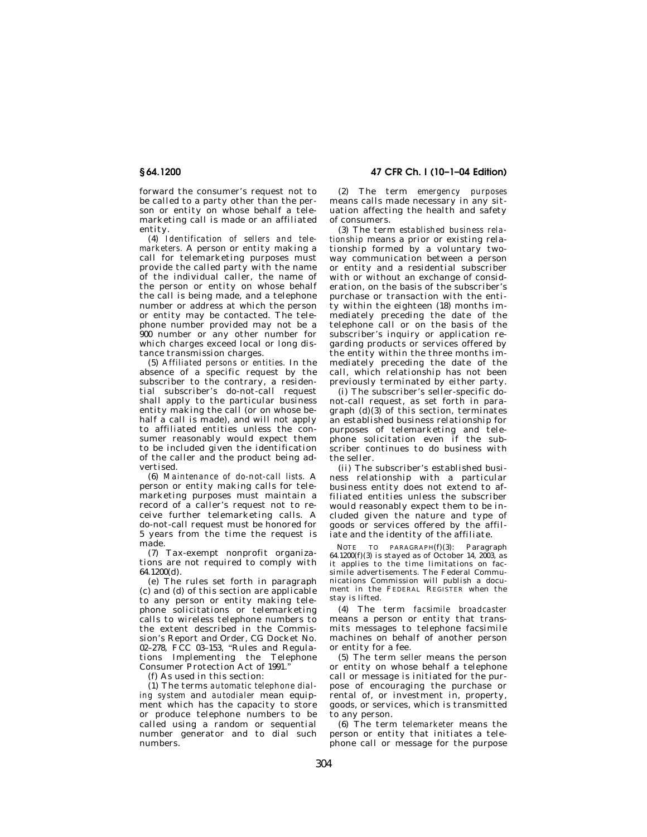forward the consumer's request not to be called to a party other than the person or entity on whose behalf a telemarketing call is made or an affiliated entity.

(4) *Identification of sellers and telemarketers.* A person or entity making a call for telemarketing purposes must provide the called party with the name of the individual caller, the name of the person or entity on whose behalf the call is being made, and a telephone number or address at which the person or entity may be contacted. The telephone number provided may not be a 900 number or any other number for which charges exceed local or long distance transmission charges.

(5) *Affiliated persons or entities.* In the absence of a specific request by the subscriber to the contrary, a residential subscriber's do-not-call request shall apply to the particular business entity making the call (or on whose behalf a call is made), and will not apply to affiliated entities unless the consumer reasonably would expect them to be included given the identification of the caller and the product being advertised.

(6) *Maintenance of do-not-call lists.* A person or entity making calls for telemarketing purposes must maintain a record of a caller's request not to receive further telemarketing calls. A do-not-call request must be honored for 5 years from the time the request is made.

(7) Tax-exempt nonprofit organizations are not required to comply with 64.1200(d).

(e) The rules set forth in paragraph (c) and (d) of this section are applicable to any person or entity making telephone solicitations or telemarketing calls to wireless telephone numbers to the extent described in the Commission's Report and Order, CG Docket No. 02–278, FCC 03–153, ''Rules and Regulations Implementing the Telephone Consumer Protection Act of 1991.''

(f) As used in this section:

(1) The terms *automatic telephone dialing system* and *autodialer* mean equipment which has the capacity to store or produce telephone numbers to be called using a random or sequential number generator and to dial such numbers.

**§ 64.1200 47 CFR Ch. I (10–1–04 Edition)** 

(2) The term *emergency purposes*  means calls made necessary in any situation affecting the health and safety of consumers.

(3) The term *established business relationship* means a prior or existing relationship formed by a voluntary twoway communication between a person or entity and a residential subscriber with or without an exchange of consideration, on the basis of the subscriber's purchase or transaction with the entity within the eighteen (18) months immediately preceding the date of the telephone call or on the basis of the subscriber's inquiry or application regarding products or services offered by the entity within the three months immediately preceding the date of the call, which relationship has not been previously terminated by either party.

(i) The subscriber's seller-specific donot-call request, as set forth in paragraph  $(d)(3)$  of this section, terminates an established business relationship for purposes of telemarketing and telephone solicitation even if the subscriber continues to do business with the seller.

(ii) The subscriber's established business relationship with a particular business entity does not extend to affiliated entities unless the subscriber would reasonably expect them to be included given the nature and type of goods or services offered by the affiliate and the identity of the affiliate.

NOTE TO PARAGRAPH(f)(3): Paragraph  $64.1200(f)(3)$  is stayed as of October 14, 2003, as it applies to the time limitations on facsimile advertisements. The Federal Communications Commission will publish a document in the FEDERAL REGISTER when the stay is lifted.

(4) The term *facsimile broadcaster*  means a person or entity that transmits messages to telephone facsimile machines on behalf of another person or entity for a fee.

(5) The term *seller* means the person or entity on whose behalf a telephone call or message is initiated for the purpose of encouraging the purchase or rental of, or investment in, property, goods, or services, which is transmitted to any person.

(6) The term *telemarketer* means the person or entity that initiates a telephone call or message for the purpose